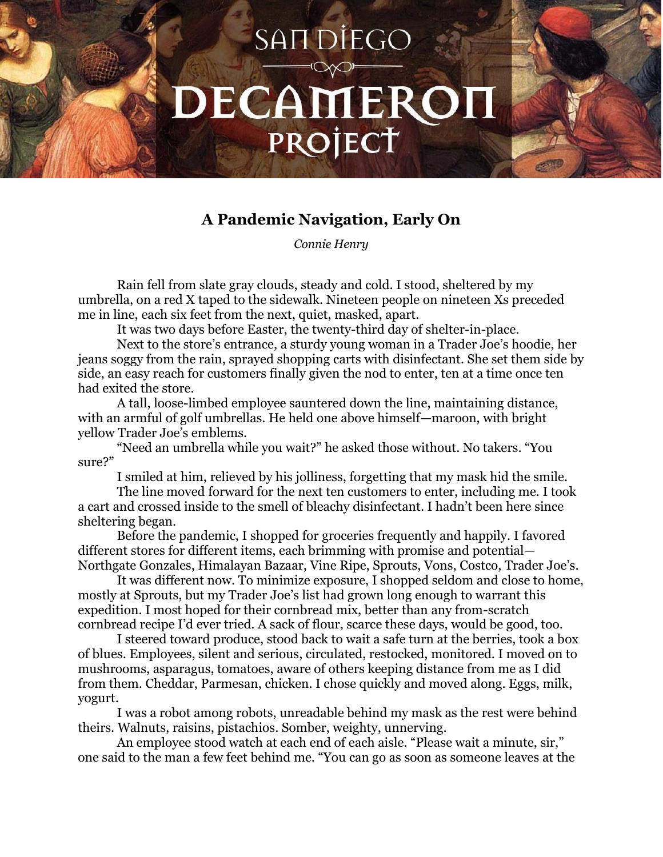## SAIT DIEGO DECAMEROI PROJECT

## **A Pandemic Navigation, Early On**

*Connie Henry*

Rain fell from slate gray clouds, steady and cold. I stood, sheltered by my umbrella, on a red X taped to the sidewalk. Nineteen people on nineteen Xs preceded me in line, each six feet from the next, quiet, masked, apart.

It was two days before Easter, the twenty-third day of shelter-in-place.

Next to the store's entrance, a sturdy young woman in a Trader Joe's hoodie, her jeans soggy from the rain, sprayed shopping carts with disinfectant. She set them side by side, an easy reach for customers finally given the nod to enter, ten at a time once ten had exited the store.

A tall, loose-limbed employee sauntered down the line, maintaining distance, with an armful of golf umbrellas. He held one above himself—maroon, with bright yellow Trader Joe's emblems.

"Need an umbrella while you wait?" he asked those without. No takers. "You sure?"

I smiled at him, relieved by his jolliness, forgetting that my mask hid the smile.

The line moved forward for the next ten customers to enter, including me. I took a cart and crossed inside to the smell of bleachy disinfectant. I hadn't been here since sheltering began.

Before the pandemic, I shopped for groceries frequently and happily. I favored different stores for different items, each brimming with promise and potential— Northgate Gonzales, Himalayan Bazaar, Vine Ripe, Sprouts, Vons, Costco, Trader Joe's.

It was different now. To minimize exposure, I shopped seldom and close to home, mostly at Sprouts, but my Trader Joe's list had grown long enough to warrant this expedition. I most hoped for their cornbread mix, better than any from-scratch cornbread recipe I'd ever tried. A sack of flour, scarce these days, would be good, too.

I steered toward produce, stood back to wait a safe turn at the berries, took a box of blues. Employees, silent and serious, circulated, restocked, monitored. I moved on to mushrooms, asparagus, tomatoes, aware of others keeping distance from me as I did from them. Cheddar, Parmesan, chicken. I chose quickly and moved along. Eggs, milk, yogurt.

I was a robot among robots, unreadable behind my mask as the rest were behind theirs. Walnuts, raisins, pistachios. Somber, weighty, unnerving.

An employee stood watch at each end of each aisle. "Please wait a minute, sir," one said to the man a few feet behind me. "You can go as soon as someone leaves at the